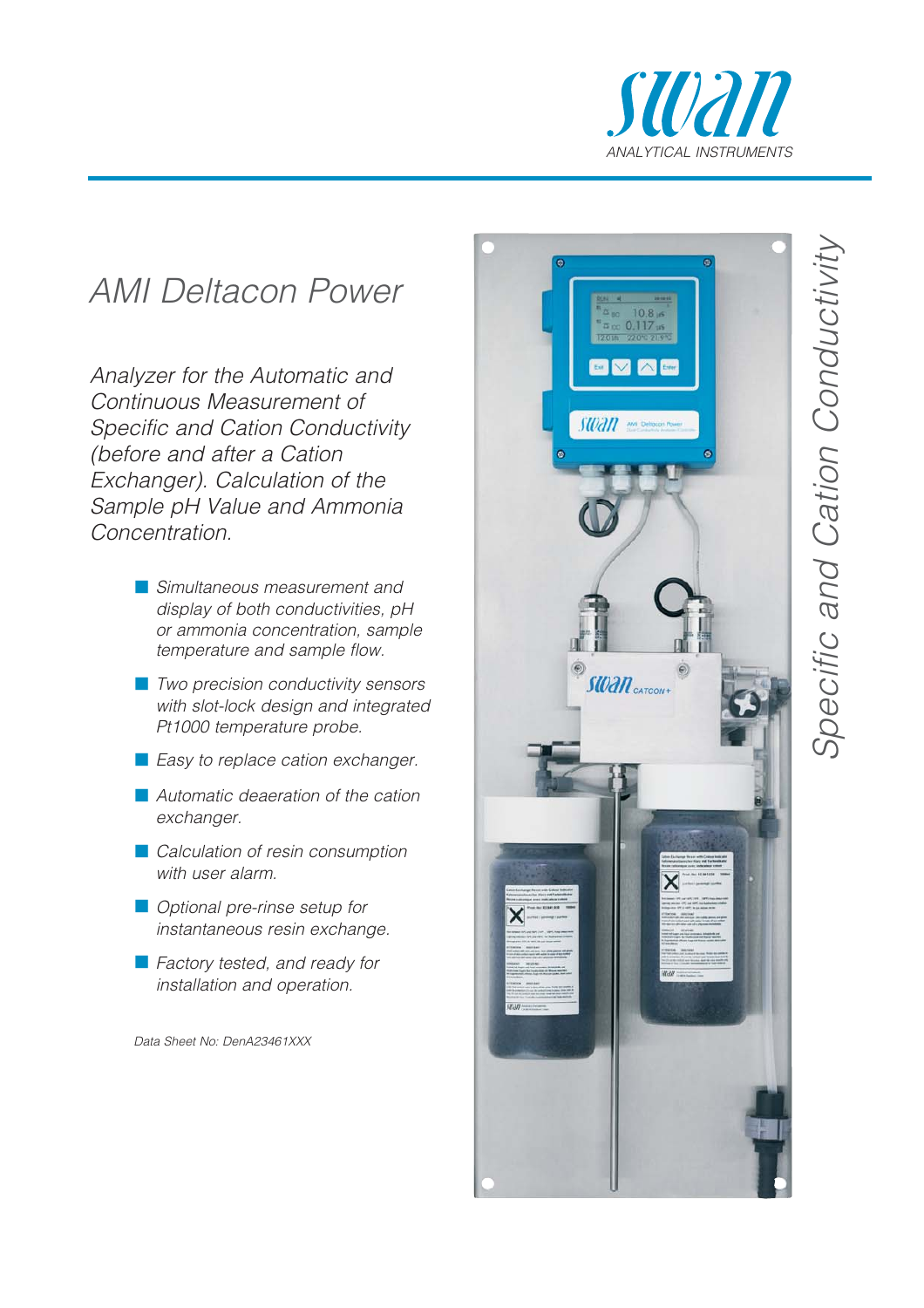

## AMI Deltacon Power

Analyzer for the Automatic and Continuous Measurement of Specific and Cation Conductivity (before and after a Cation Exchanger). Calculation of the Sample pH Value and Ammonia Concentration.

- **E** Simultaneous measurement and display of both conductivities, pH or ammonia concentration, sample temperature and sample flow.
- **T** Two precision conductivity sensors with slot-lock design and integrated Pt1000 temperature probe.
- **E** Easy to replace cation exchanger.
- **Automatic deaeration of the cation** exchanger.
- **Calculation of resin consumption** with user alarm.
- **Optional pre-rinse setup for** instantaneous resin exchange.
- **Factory tested, and ready for** installation and operation.

Data Sheet No: DenA23461XXX